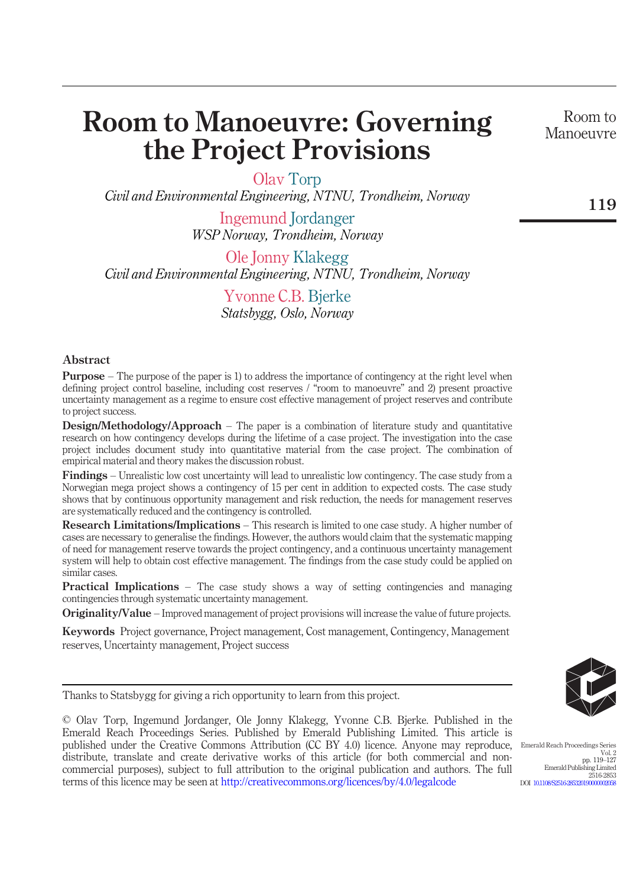# Room to Manoeuvre: Governing the Project Provisions

Room to Manoeuvre

Olav Torp

Civil and Environmental Engineering, NTNU, Trondheim, Norway

Ingemund Jordanger WSP Norway, Trondheim, Norway

Ole Jonny Klakegg Civil and Environmental Engineering, NTNU, Trondheim, Norway

> Yvonne C.B. Bjerke Statsbygg, Oslo, Norway

### Abstract

Purpose – The purpose of the paper is 1) to address the importance of contingency at the right level when defining project control baseline, including cost reserves / "room to manoeuvre" and 2) present proactive uncertainty management as a regime to ensure cost effective management of project reserves and contribute to project success.

Design/Methodology/Approach – The paper is a combination of literature study and quantitative research on how contingency develops during the lifetime of a case project. The investigation into the case project includes document study into quantitative material from the case project. The combination of empirical material and theory makes the discussion robust.

Findings – Unrealistic low cost uncertainty will lead to unrealistic low contingency. The case study from a Norwegian mega project shows a contingency of 15 per cent in addition to expected costs. The case study shows that by continuous opportunity management and risk reduction, the needs for management reserves are systematically reduced and the contingency is controlled.

Research Limitations/Implications – This research is limited to one case study. A higher number of cases are necessary to generalise the findings. However, the authors would claim that the systematic mapping of need for management reserve towards the project contingency, and a continuous uncertainty management system will help to obtain cost effective management. The findings from the case study could be applied on similar cases.

Practical Implications – The case study shows a way of setting contingencies and managing contingencies through systematic uncertainty management.

Originality/Value – Improved management of project provisions will increase the value of future projects.

Keywords Project governance, Pr[oject management, Cost management, Contingency, M](http://creativecommons.org/licences/by/4.0/legalcode)anagement reserves, Uncertainty management, Project success

Thanks to Statsbygg for giving a rich opportunity to learn from this project.

© Olav Torp, Ingemund Jordanger, Ole Jonny Klakegg, Yvonne C.B. Bjerke. Published in the Emerald Reach Proceedings Series. Published by Emerald Publishing Limited. This article is published under the Creative Commons Attribution (CC BY 4.0) licence. Anyone may reproduce, distribute, translate and create derivative works of this article (for both commercial and noncommercial purposes), subject to full attribution to the original publication and authors. The full terms of this licence may be seen at http://creativecommons.org/licences/by/4.0/legalcode



Emerald Reach Proceedings Series Vol. 2 pp. 119–127 Emerald Publishing Limited 2516-2853 DOI 10.1108/S2516-285320190000002058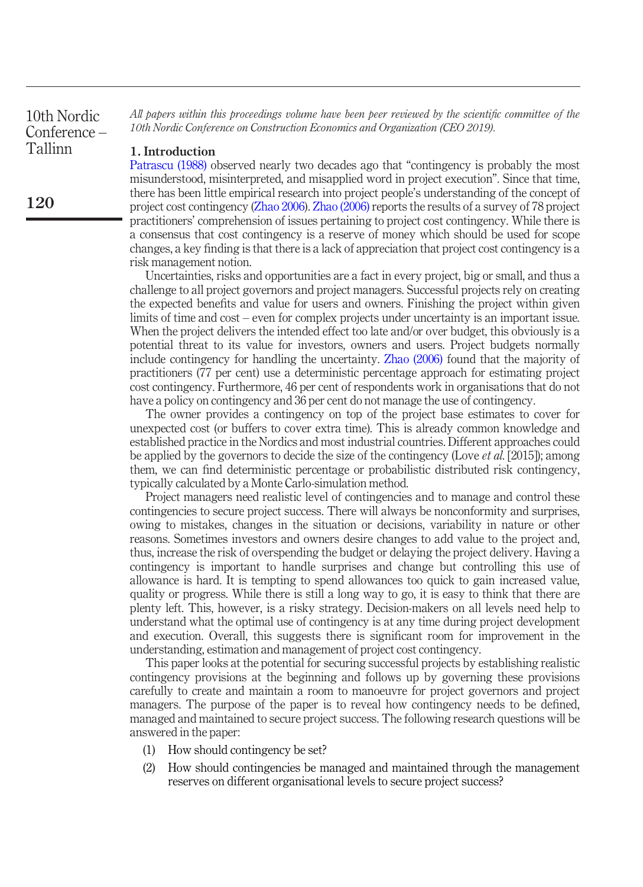All papers within this proceedings volume have been peer reviewed by the scientific committee of the 10th Nordic Conference on Construction Economics and Organization (CEO 2019).

### 1. Introduction

Patrascu (1988) observed nearly two decades ago that "contingency is probably the most misunderstood, misinterpreted, and misapplied word in project execution". Since that time, there has been little empirical research into project people's understanding of the concept of project cost contingency (Zhao 2006). Zhao (2006) reports the results of a survey of 78 project practitioners' comprehension of issues pertaining to [project](#page-8-0) [cost](#page-8-0) contingency. While there is a consensus that cost contingency is a reserve of money which should be used for scope changes, a key finding is that there is a lack of appreciation that project cost contingency is a risk management notion.

Uncertainties, risks and opportunities are a fact in every project, big or small, and thus a challenge to all project governors and project managers. Successful projects rely on creating the expected benefits and value for users and owners. Finishing the project within given limits of time and cost – even for complex projects under uncertainty is an important issue. When the project delivers the intended effect too late and/or over budget, this obviously is a potential threat to its value for investors, owners and users. Project budgets normally include contingency for handling the uncertainty. Zhao (2006) found that the majority of practitioners (77 per cent) use a deterministic percentage approach for estimating project cost contingency. Furthermore, 46 per cent of respondents work in organisations that do not have a policy on contingency and 36 per cent do not manage the use of contingency.

The owner provides a contingency on top of the project base estimates to cover for unexpected cost (or buffers to cover extra time). This is already common knowledge and established practice in the Nordics and most industrial countries. Different approaches could be applied by the governors to decide the size of the contingency (Love *et al.* [2015]); among them, we can find deterministic percentage or probabilistic distributed risk contingency, typically calculated by a Monte Carlo-simulation method.

Project managers need realistic level of contingencies and to manage and control these contingencies to secure project success. There will always be nonconformity and surprises, owing to mistakes, changes in the situation or decisions, variability in nature or other reasons. Sometimes investors and owners desire changes to add value to the project and, thus, increase the risk of overspending the budget or delaying the project delivery. Having a contingency is important to handle surprises and change but controlling this use of allowance is hard. It is tempting to spend allowances too quick to gain increased value, quality or progress. While there is still a long way to go, it is easy to think that there are plenty left. This, however, is a risky strategy. Decision-makers on all levels need help to understand what the optimal use of contingency is at any time during project development and execution. Overall, this suggests there is significant room for improvement in the understanding, estimation and management of project cost contingency.

This paper looks at the potential for securing successful projects by establishing realistic contingency provisions at the beginning and follows up by governing these provisions carefully to create and maintain a room to manoeuvre for project governors and project managers. The purpose of the paper is to reveal how contingency needs to be defined, managed and maintained to secure project success. The following research questions will be answered in the paper:

- (1) How should contingency be set?
- (2) How should contingencies be managed and maintained through the management reserves on different organisational levels to secure project success?

120

10th Nordic Conference – Tallinn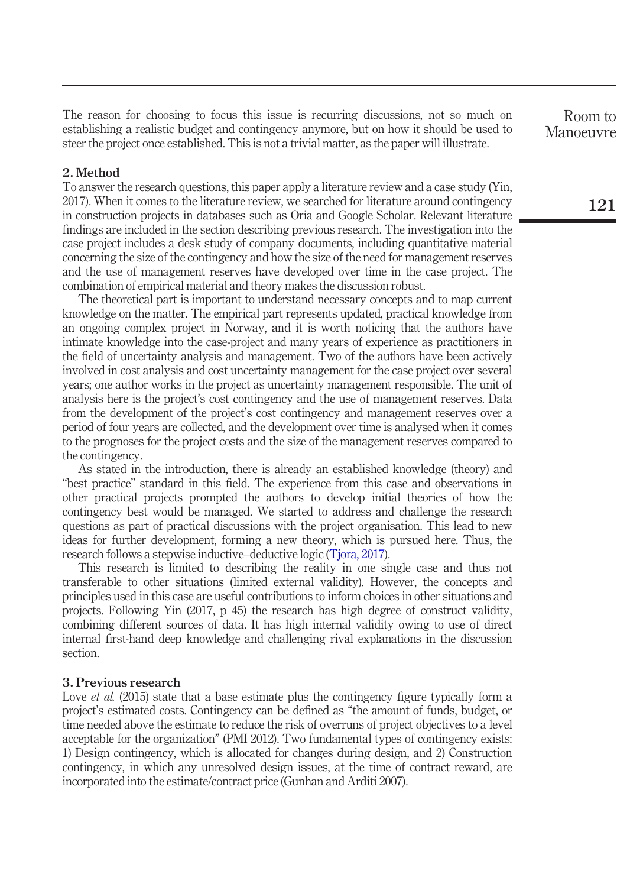The reason for choosing to focus this issue is recurring discussions, not so much on establishing a realistic budget and contingency anymore, but on how it should be used to steer the project once established. This is not a trivial matter, as the paper will illustrate.

## 2. Method

To answer the research questions, this paper apply a literature review and a case study (Yin, 2017). When it comes to the literature review, we searched for literature around contingency in construction projects in databases such as Oria and Google Scholar. Relevant literature findings are included in the section describing previous research. The investigation into the case project includes a desk study of company documents, including quantitative material concerning the size of the contingency and how the size of the need for management reserves and the use of management reserves have developed over time in the case project. The combination of empirical material and theory makes the discussion robust.

The theoretical part is important to understand necessary concepts and to map current knowledge on the matter. The empirical part represents updated, practical knowledge from an ongoing complex project in Norway, and it is worth noticing that the authors have intimate knowledge into the case-project and many years of experience as practitioners in the field of uncertainty analysis and management. Two of the authors have been actively involved in cost analysis and cost uncertainty management for the case project over several years; one author works in the project as uncertainty management responsible. The unit of analysis here is the project's cost contingency and the use of management reserves. Data from the development of the project's cost contingen[cy and man](#page-8-1)agement reserves over a period of four years are collected, and the development over time is analysed when it comes to the prognoses for the project costs and the size of the management reserves compared to the contingency.

As stated in the introduction, there is already an established knowledge (theory) and "best practice" standard in this field. The experience from this case and observations in other practical projects prompted the authors to develop initial theories of how the contingency best would be managed. We started to address and challenge the research questions as part of practical discussions with the project organisation. This lead to new ideas for further development, forming a new theory, which is pursued here. Thus, the research follows a stepwise inductive–deductive logic (Tjora, 2017).

This research is limited to describing the reality in one single case and thus not transferable to other situations (limited external validity). However, the concepts and principles used in this case are useful contributions to inform choices in other situations and projects. Following Yin (2017, p 45) the research has high degree of construct validity, combining different sources of data. It has high internal validity owing to use of direct internal first-hand deep knowledge and challenging rival explanations in the discussion section.

### 3. Previous research

Love *et al.* (2015) state that a base estimate plus the contingency figure typically form a project's estimated costs. Contingency can be defined as "the amount of funds, budget, or time needed above the estimate to reduce the risk of overruns of project objectives to a level acceptable for the organization" (PMI 2012). Two fundamental types of contingency exists: 1) Design contingency, which is allocated for changes during design, and 2) Construction contingency, in which any unresolved design issues, at the time of contract reward, are incorporated into the estimate/contract price (Gunhan and Arditi 2007).

Room to Manoeuvre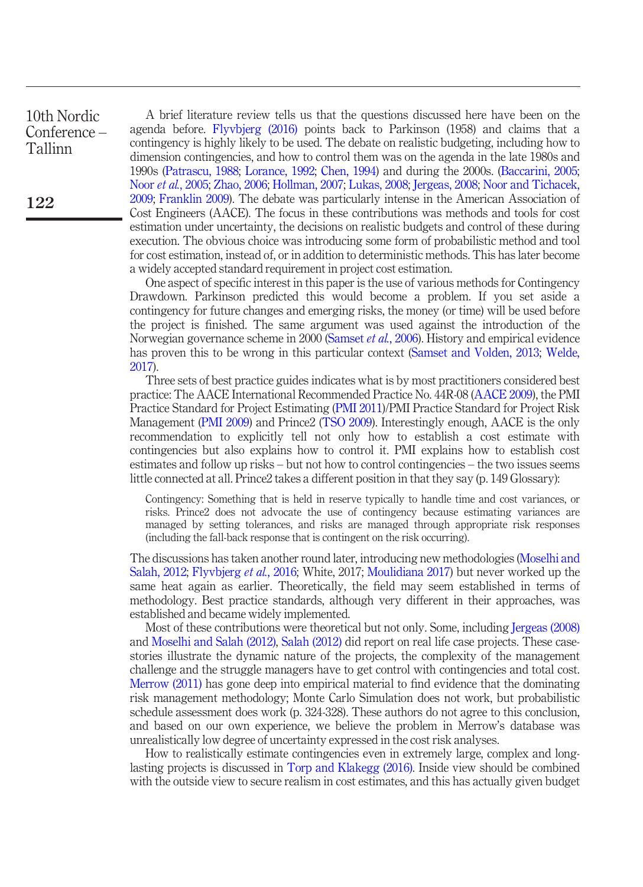10th Nordic Conference – Tallinn

A brief literature review tells us that the questions discussed here have been on the agenda before. Flyvbjerg (2016) points back to Parkinson (1958) and claims that a contingency is highly likely to be used. The debate on realistic budgeting, including how to dimension contingencies, and how to control them was on the agenda in the late 1980s and 1990s (Patrascu, 1988; Lorance, 1992; Chen, 1994) and during the 2000s. (Baccarini, 2005; Noor et al., 2005; Zhao, 2006; Hollman, 2007; Lukas, 2008; Jergeas, 2008; Noor and Tichacek, 2009; Franklin 2009). The debate was [particularly](#page-7-0) [intense](#page-7-0) in the American Association of Cost Engineers (AACE). The focus in these contributio[ns](#page-7-1) [was](#page-7-1) [methods](#page-7-1) [and](#page-7-1) [tools](#page-7-1) f[or](#page-8-2) [cost](#page-8-2) [estim](#page-8-2)ation under uncertainty, the decisions on realistic budgets and control of these during execution. The obvious choice was introducing some form of probabilistic method and tool for cost estimation, instead of, or in addition to deterministic methods. [This](#page-6-0) [has](#page-6-0) [late](#page-6-0)r become a widely accepted standard requirement i[n](#page-7-2) [project](#page-7-2) [co](#page-7-2)st estimation.

One aspect [of](#page-7-3) [speci](#page-7-3)fic interest in thi[s](#page-7-4) [paper](#page-7-4) [is](#page-7-4) [t](#page-7-4)he use of various methods for Contingency Drawdown. Parkinson predicted this would become a problem. If you set aside a contingency for future changes and emerging risks, the money (or time) will be used before the project is finished. The same argument was used against the introduction of the Norwegian governance scheme in 2000 (Samset *et al.*, 2006). History and empirical evidence has proven this to be wrong in this particular context (Samset and Volden, 2013; Welde, 2017).

Three sets of best practice guides indicates what is by most practitioners considered best practice: The AACE International Recommended Practice No. 44R-08 (AACE 2009), the PMI Practice Standard for Project Estimating (PMI 2011)/PMI Practice Standard for [Project Risk](#page-7-5) [Managemen](#page-7-5)[t \(PMI 2009\) and Prin](#page-6-1)ce2 (TSO 200[9\). Interestingly e](#page-7-6)nough, AACE is the only recommendation to explicitly tell not only how to establish a cost estimate with contingencies but also explains how to control it. PMI explains how to establish cost estimates and follow up risks – but not how to control contingencies – the two issues seems little connected at all. Prince2 takes a different position in that they say (p. 149 [Glossary\):](#page-7-7)

C[ontingency: Something that](#page-7-5) [is held in res](#page-7-8)erve typically to handle time and cost variances, or risks. Prince2 does not advocate the use of contingency because estimating variances are managed by setting tolerances, and risks are managed through appropriate risk responses [\(including th](#page-7-9)e fall-back response that is contingent on the risk occurring).

The discussions has taken another round later, introducing new methodologies (Moselhi and Salah, 2012; Flyvbjerg et al., 2016; White, 2017; Moulidiana 2017) but never worked up the same heat again as earlier. Theoretically, the field may seem established in terms of methodology. Best practice standards, although very different in their approaches, was established and became widely implemented.

Most of these contributions [were](#page-8-3) [theoretical](#page-8-3) [but](#page-8-3) [not](#page-8-3) [on](#page-8-3)ly. Some, including Jergeas (2008) and Moselhi and Salah (2012), Salah (2012) did report on real life case projects. These casestories illustrate the dynamic nature of the projects, the complexity of the management challenge and the struggle managers have to get control with contingencies and total cost. Merrow (2011) has gone deep into empirical material to find evidence that the dominating risk management methodology; Monte Carlo Simulation does not work, but probabilistic schedule assessment does work (p. 324-328). These authors do not agree to this conclusion, and based on our own experience, we believe the problem in Merrow's database was unrealistically low degree of uncertainty expressed in the cost risk analyses.

How to realistically estimate contingencies even in extremely large, complex and longlasting projects is discussed in Torp and Klakegg (2016). Inside view should be combined with the outside view to secure realism in cost estimates, and this has actually given budget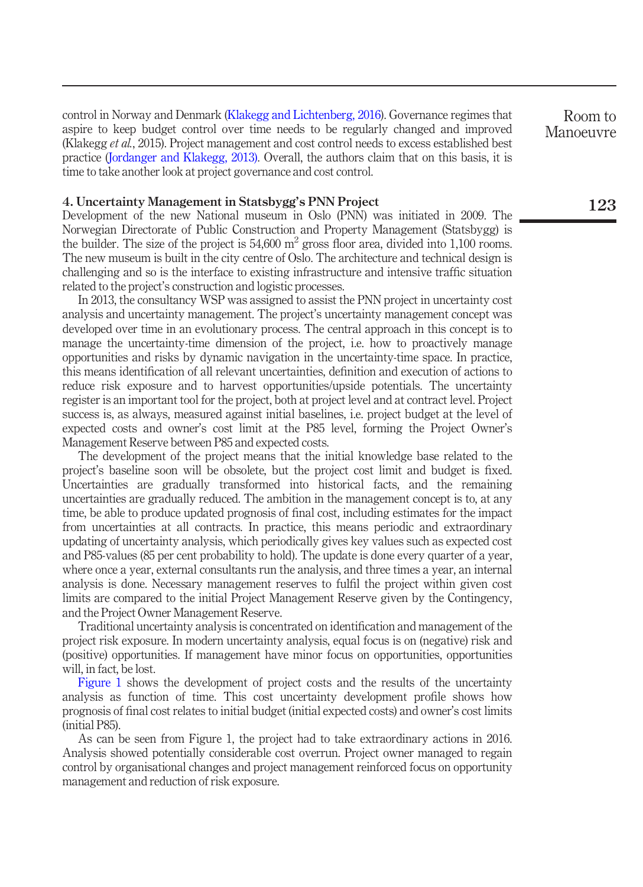control in Norway and Denmark (Klakegg and Lichtenberg, 2016). Governance regimes that aspire to keep budget control over time needs to be regularly changed and improved (Klakegg et al., 2015). Project management and cost control needs to excess established best practice (Jordanger and Klakegg, 2013). Overall, the authors claim that on this basis, it is time to take another look at project governance and cost control.

## 4. Uncertainty Management in Statsbygg's PNN Project

Development of the new National museum in Oslo (PNN) was initiated in 2009. The Norwegian Directorate of Public Construction and Property Management (Statsbygg) is the builder. The size of the project is  $54,600 \text{ m}^2$  gross floor area, divided into 1,100 rooms. The new museum is built in the city centre of Oslo. The architecture and technical design is challenging and so is the interface to existing infrastructure and intensive traffic situation related to the project's construction and logistic processes.

In 2013, the consultancy WSP was assigned to assist the PNN project in uncertainty cost analysis and uncertainty management. The project's uncertainty management concept was developed over time in an evolutionary process. The central approach in this concept is to manage the uncertainty-time dimension of the project, i.e. how to proactively manage opportunities and risks by dynamic navigation in the uncertainty-time space. In practice, this means identification of all relevant uncertainties, definition and execution of actions to reduce risk exposure and to harvest opportunities/upside potentials. The uncertainty register is an important tool for the project, both at project level and at contract level. Project success is, as always, measured against initial baselines, i.e. project budget at the level of expected costs and owner's cost limit at the P85 level, forming the Project Owner's Management Reserve between P85 and expected costs.

The development of the project means that the initial knowledge base related to the project's baseline soon will be obsolete, but the project cost limit and budget is fixed. Uncertainties are gradually transformed into historical facts, and the remaining uncertainties are gradually reduced. The ambition in the management concept is to, at any time, be able to produce updated prognosis of final cost, including estimates for the impact from uncertainties at all contracts. In practice, this means periodic and extraordinary up[dating of](#page-5-0) uncertainty analysis, which periodically gives key values such as expected cost and P85-values (85 per cent probability to hold). The update is done every quarter of a year, where once a year, external consultants run the analysis, and three times a year, an internal analysis is done. Necessary management reserves to fulfil the project within given cost limits are compared to the initial Project Management Reserve given by the Contingency, and the Project Owner Management Reserve.

Traditional uncertainty analysis is concentrated on identification and management of the project risk exposure. In modern uncertainty analysis, equal focus is on (negative) risk and (positive) opportunities. If management have minor focus on opportunities, opportunities will, in fact, be lost.

Figure 1 shows the development of project costs and the results of the uncertainty analysis as function of time. This cost uncertainty development profile shows how prognosis of final cost relates to initial budget (initial expected costs) and owner's cost limits (initial P85).

As can be seen from Figure 1, the project had to take extraordinary actions in 2016. Analysis showed potentially considerable cost overrun. Project owner managed to regain control by organisational changes and project management reinforced focus on opportunity management and reduction of risk exposure.

Room to Manoeuvre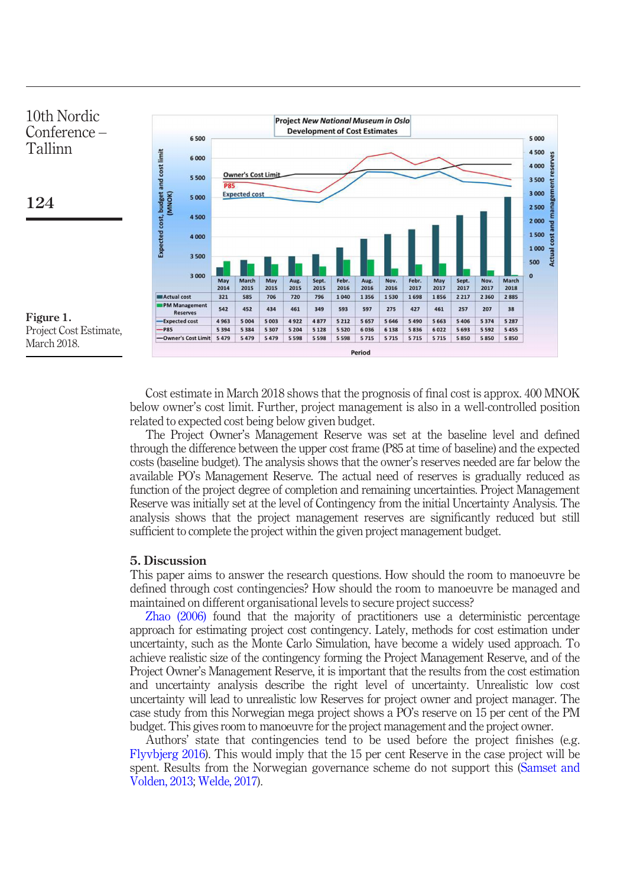<span id="page-5-0"></span>

Cost estimate in March 2018 shows that the prognosis of final cost is approx. 400 MNOK below owner's cost limit. Further, project management is also in a well-controlled position related to expected cost being below given budget.

The Project Owner's Management Reserve was set at the baseline level and defined through the difference between the upper cost frame (P85 at time of baseline) and the expected costs (baseline budget). The analysis shows that the owner's reserves needed are far below the av[ailable](#page-8-0) [PO](#page-8-0)'s Management Reserve. The actual need of reserves is gradually reduced as function of the project degree of completion and remaining uncertainties. Project Management Reserve was initially set at the level of Contingency from the initial Uncertainty Analysis. The analysis shows that the project management reserves are significantly reduced but still sufficient to complete the project within the given project management budget.

#### 5. Discussion

This paper aims to answer the research questions. How should the room to manoeuvre be defined through cost contingencies? How should the room to manoeuvre be managed and maintained on different organisational levels to secure project success?

[Zhao](#page-6-1) [\(2006\)](#page-6-1) found that the majority of practitioners use a deterministic percentage approach for estimating project cost contingency. Lately, methods for cost esti[mation](#page-7-1) [under](#page-7-1) [uncertainty,](#page-7-1) [s](#page-7-1)[uch](#page-8-2) [as](#page-8-2) [the](#page-8-2) [M](#page-8-2)onte Carlo Simulation, have become a widely used approach. To achieve realistic size of the contingency forming the Project Management Reserve, and of the Project Owner's Management Reserve, it is important that the results from the cost estimation and uncertainty analysis describe the right level of uncertainty. Unrealistic low cost uncertainty will lead to unrealistic low Reserves for project owner and project manager. The case study from this Norwegian mega project shows a PO's reserve on 15 per cent of the PM budget. This gives room to manoeuvre for the project management and the project owner.

Authors' state that contingencies tend to be used before the project finishes (e.g. Flyvbjerg 2016). This would imply that the 15 per cent Reserve in the case project will be spent. Results from the Norwegian governance scheme do not support this (Samset and Volden, 2013; Welde, 2017).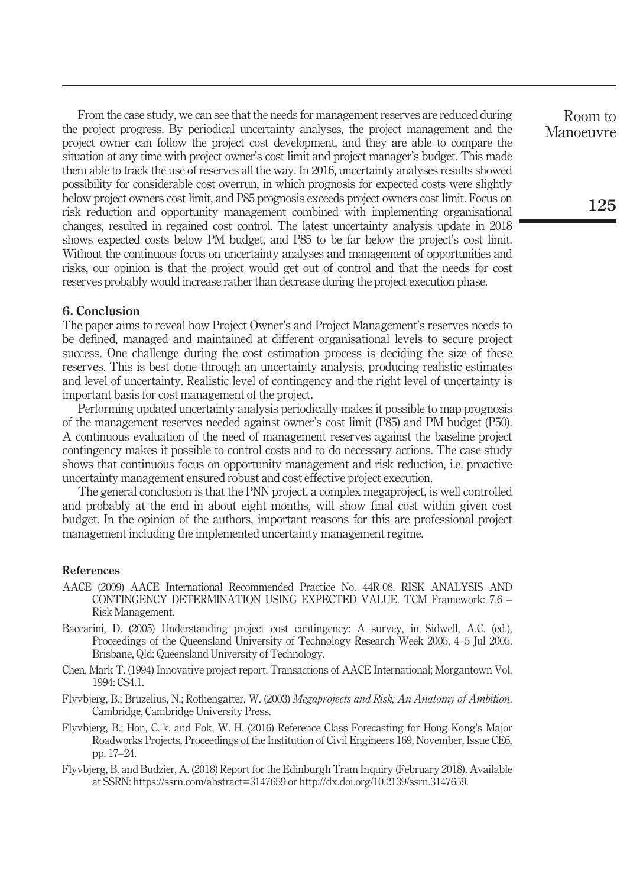From the case study, we can see that the needs for management reserves are reduced during the project progress. By periodical uncertainty analyses, the project management and the project owner can follow the project cost development, and they are able to compare the situation at any time with project owner's cost limit and project manager's budget. This made them able to track the use of reserves all the way. In 2016, uncertainty analyses results showed possibility for considerable cost overrun, in which prognosis for expected costs were slightly below project owners cost limit, and P85 prognosis exceeds project owners cost limit. Focus on risk reduction and opportunity management combined with implementing organisational changes, resulted in regained cost control. The latest uncertainty analysis update in 2018 shows expected costs below PM budget, and P85 to be far below the project's cost limit. Without the continuous focus on uncertainty analyses and management of opportunities and risks, our opinion is that the project would get out of control and that the needs for cost reserves probably would increase rather than decrease during the project execution phase.

### 6. Conclusion

The paper aims to reveal how Project Owner's and Project Management's reserves needs to be defined, managed and maintained at different organisational levels to secure project success. One challenge during the cost estimation process is deciding the size of these reserves. This is best done through an uncertainty analysis, producing realistic estimates and level of uncertainty. Realistic level of contingency and the right level of uncertainty is important basis for cost management of the project.

Performing updated uncertainty analysis periodically makes it possible to map prognosis of the management reserves needed against owner's cost limit (P85) and PM budget (P50). A continuous evaluation of the need of management reserves against the baseline project contingency makes it possible to control costs and to do necessary actions. The case study shows that continuous focus on opportunity management and risk reduction, i.e. proactive uncertainty management ensured robust and cost effective project execution.

The general conclusion is that the PNN project, a complex megaproject, is well controlled and probably at the end in about eight months, will show final cost within given cost budget. In the opinion of the authors, important reasons for this are professional project management including the implemented uncertainty management regime.

## References

- <span id="page-6-0"></span>AACE (2009) AACE International Recommended Practice No. 44R-08. RISK ANALYSIS AND CONTINGENCY DETERMINATION USING EXPECTED VALUE. TCM Framework: 7.6 – Risk Management.
- Baccarini, D. (2005) Understanding project cost contingency: A survey, in Sidwell, A.C. (ed.), Proceedings of the Queensland University of Technology Research Week 2005, 4–5 Jul 2005. Brisbane, Qld: Queensland University of Technology.
- Chen, Mark T. (1994) Innovative project report. Transactions of AACE International; Morgantown Vol. 1994: CS4.1.
- Flyvbjerg, B.; Bruzelius, N.; Rothengatter, W. (2003) Megaprojects and Risk; An Anatomy of Ambition. Cambridge, Cambridge University Press.
- <span id="page-6-1"></span>Flyvbjerg, B.; Hon, C.-k. and Fok, W. H. (2016) Reference Class Forecasting for Hong Kong's Major Roadworks Projects, Proceedings of the Institution of Civil Engineers 169, November, Issue CE6, pp. 17–24.
- Flyvbjerg, B. and Budzier, A. (2018) Report for the Edinburgh Tram Inquiry (February 2018). Available at SSRN: https://ssrn.com/abstract=3147659 or http://dx.doi.org/10.2139/ssrn.3147659.

Room to Manoeuvre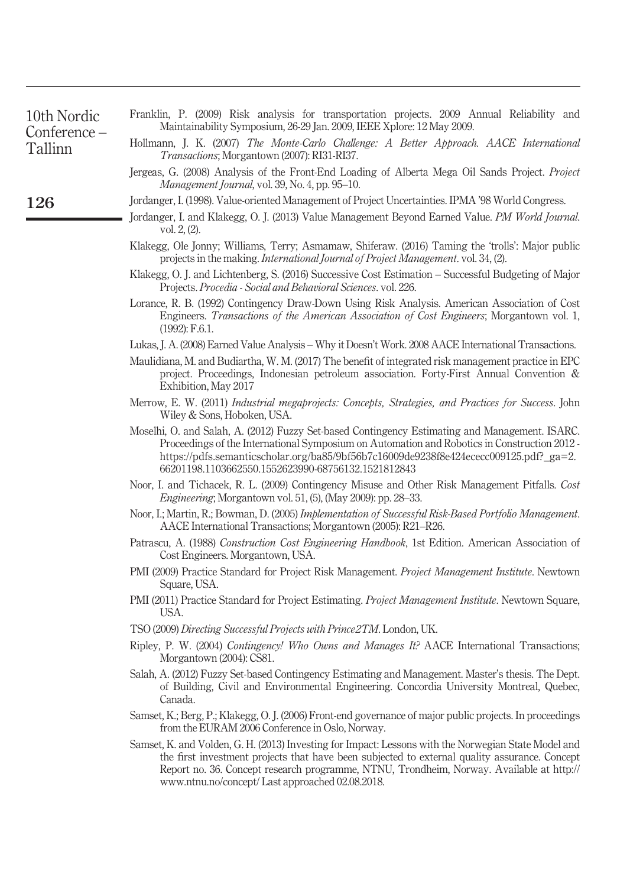<span id="page-7-9"></span><span id="page-7-8"></span><span id="page-7-7"></span><span id="page-7-6"></span><span id="page-7-5"></span><span id="page-7-4"></span><span id="page-7-3"></span><span id="page-7-2"></span><span id="page-7-1"></span><span id="page-7-0"></span>

| 10th Nordic<br>Conference-<br>Tallinn | Franklin, P. (2009) Risk analysis for transportation projects. 2009 Annual Reliability and<br>Maintainability Symposium, 26-29 Jan. 2009, IEEE Xplore: 12 May 2009.                                                                                                                                                                                  |
|---------------------------------------|------------------------------------------------------------------------------------------------------------------------------------------------------------------------------------------------------------------------------------------------------------------------------------------------------------------------------------------------------|
|                                       | Hollmann, J. K. (2007) The Monte-Carlo Challenge: A Better Approach. AACE International<br><i>Transactions</i> ; Morgantown (2007): RI31-RI37.                                                                                                                                                                                                       |
|                                       | Jergeas, G. (2008) Analysis of the Front-End Loading of Alberta Mega Oil Sands Project. Project<br>Management Journal, vol. 39, No. 4, pp. 95–10.                                                                                                                                                                                                    |
| 126                                   | Jordanger, I. (1998). Value-oriented Management of Project Uncertainties. IPMA '98 World Congress.                                                                                                                                                                                                                                                   |
|                                       | Jordanger, I. and Klakegg, O. J. (2013) Value Management Beyond Earned Value. PM World Journal.<br>vol. $2, (2)$ .                                                                                                                                                                                                                                   |
|                                       | Klakegg, Ole Jonny; Williams, Terry; Asmamaw, Shiferaw. (2016) Taming the 'trolls': Major public<br>projects in the making. <i>International Journal of Project Management</i> . vol. 34, (2).                                                                                                                                                       |
|                                       | Klakegg, O. J. and Lichtenberg, S. (2016) Successive Cost Estimation - Successful Budgeting of Major<br>Projects. Procedia - Social and Behavioral Sciences. vol. 226.                                                                                                                                                                               |
|                                       | Lorance, R. B. (1992) Contingency Draw-Down Using Risk Analysis. American Association of Cost<br>Engineers. Transactions of the American Association of Cost Engineers; Morgantown vol. 1,<br>$(1992)$ : F.6.1.                                                                                                                                      |
|                                       | Lukas, J. A. (2008) Earned Value Analysis – Why it Doesn't Work. 2008 AACE International Transactions.                                                                                                                                                                                                                                               |
|                                       | Maulidiana, M. and Budiartha, W. M. (2017) The benefit of integrated risk management practice in EPC<br>project. Proceedings, Indonesian petroleum association. Forty-First Annual Convention &<br>Exhibition, May 2017                                                                                                                              |
|                                       | Merrow, E. W. (2011) Industrial megaprojects: Concepts, Strategies, and Practices for Success. John<br>Wiley & Sons, Hoboken, USA.                                                                                                                                                                                                                   |
|                                       | Moselhi, O. and Salah, A. (2012) Fuzzy Set-based Contingency Estimating and Management. ISARC.<br>Proceedings of the International Symposium on Automation and Robotics in Construction 2012 -<br>https://pdfs.semanticscholar.org/ba85/9bf56b7c16009de9238f8e424ececc009125.pdf?_ga=2.<br>66201198.1103662550.1552623990-68756132.1521812843        |
|                                       | Noor, I. and Tichacek, R. L. (2009) Contingency Misuse and Other Risk Management Pitfalls. Cost<br><i>Engineering</i> ; Morgantown vol. 51, (5), (May 2009): pp. 28–33.                                                                                                                                                                              |
|                                       | Noor, I.; Martin, R.; Bowman, D. (2005) Implementation of Successful Risk-Based Portfolio Management.<br>AACE International Transactions; Morgantown (2005): R21-R26.                                                                                                                                                                                |
|                                       | Patrascu, A. (1988) Construction Cost Engineering Handbook, 1st Edition. American Association of<br>Cost Engineers. Morgantown, USA.                                                                                                                                                                                                                 |
|                                       | PMI (2009) Practice Standard for Project Risk Management. <i>Project Management Institute</i> . Newtown<br>Square, USA.                                                                                                                                                                                                                              |
|                                       | PMI (2011) Practice Standard for Project Estimating. Project Management Institute. Newtown Square,<br>USA.                                                                                                                                                                                                                                           |
|                                       | TSO (2009) Directing Successful Projects with Prince 2TM. London, UK.                                                                                                                                                                                                                                                                                |
|                                       | Ripley, P. W. (2004) Contingency! Who Owns and Manages It? AACE International Transactions;<br>Morgantown (2004): CS81.                                                                                                                                                                                                                              |
|                                       | Salah, A. (2012) Fuzzy Set-based Contingency Estimating and Management. Master's thesis. The Dept.<br>of Building, Civil and Environmental Engineering. Concordia University Montreal, Quebec,<br>Canada.                                                                                                                                            |
|                                       | Samset, K.; Berg, P.; Klakegg, O. J. (2006) Front-end governance of major public projects. In proceedings<br>from the EURAM 2006 Conference in Oslo, Norway.                                                                                                                                                                                         |
|                                       | Samset, K. and Volden, G. H. (2013) Investing for Impact: Lessons with the Norwegian State Model and<br>the first investment projects that have been subjected to external quality assurance. Concept<br>Report no. 36. Concept research programme, NTNU, Trondheim, Norway. Available at http://<br>www.ntnu.no/concept/Last approached 02.08.2018. |
|                                       |                                                                                                                                                                                                                                                                                                                                                      |